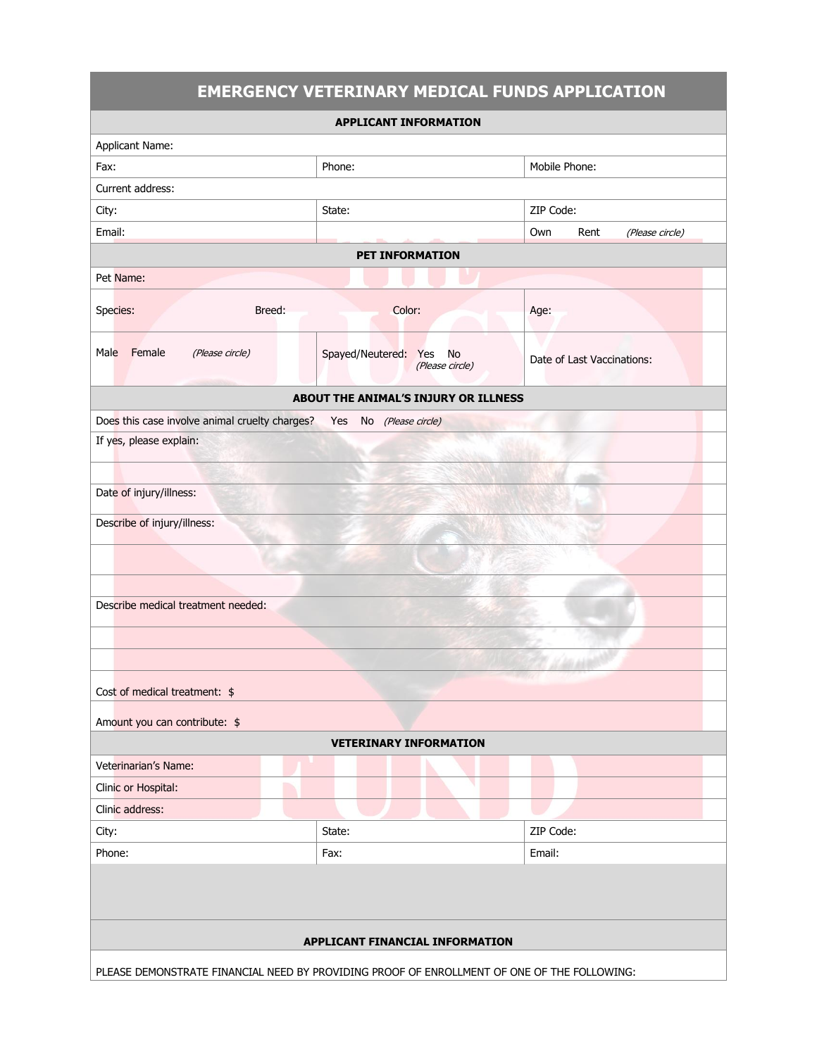|                                                                                             |                      |                       | <b>EMERGENCY VETERINARY MEDICAL FUNDS APPLICATION</b> |  |
|---------------------------------------------------------------------------------------------|----------------------|-----------------------|-------------------------------------------------------|--|
| <b>APPLICANT INFORMATION</b>                                                                |                      |                       |                                                       |  |
| <b>Applicant Name:</b>                                                                      |                      |                       |                                                       |  |
| Fax:                                                                                        | Phone:               |                       | Mobile Phone:                                         |  |
| Current address:                                                                            |                      |                       |                                                       |  |
| City:                                                                                       | State:               |                       | ZIP Code:                                             |  |
| Email:                                                                                      |                      |                       | Own<br>Rent<br>(Please circle)                        |  |
| <b>PET INFORMATION</b>                                                                      |                      |                       |                                                       |  |
| Pet Name:                                                                                   |                      |                       |                                                       |  |
| Species:<br>Breed:                                                                          | Color:               |                       | Age:                                                  |  |
| Female<br>Male<br>(Please circle)                                                           | Spayed/Neutered: Yes | No<br>(Please circle) | Date of Last Vaccinations:                            |  |
| ABOUT THE ANIMAL'S INJURY OR ILLNESS                                                        |                      |                       |                                                       |  |
| Does this case involve animal cruelty charges?<br>Yes No (Please circle)                    |                      |                       |                                                       |  |
| If yes, please explain:                                                                     |                      |                       |                                                       |  |
|                                                                                             |                      |                       |                                                       |  |
| Date of injury/illness:                                                                     |                      |                       |                                                       |  |
| Describe of injury/illness:                                                                 |                      |                       |                                                       |  |
|                                                                                             |                      |                       |                                                       |  |
|                                                                                             |                      |                       |                                                       |  |
|                                                                                             |                      |                       |                                                       |  |
| Describe medical treatment needed:                                                          |                      |                       |                                                       |  |
|                                                                                             |                      |                       |                                                       |  |
|                                                                                             |                      |                       |                                                       |  |
|                                                                                             |                      |                       |                                                       |  |
| Cost of medical treatment: $$$                                                              |                      |                       |                                                       |  |
| Amount you can contribute: \$                                                               |                      |                       |                                                       |  |
| <b>VETERINARY INFORMATION</b>                                                               |                      |                       |                                                       |  |
| Veterinarian's Name:                                                                        |                      |                       |                                                       |  |
| Clinic or Hospital:                                                                         |                      |                       |                                                       |  |
| Clinic address:                                                                             |                      |                       |                                                       |  |
| City:                                                                                       | State:               |                       | ZIP Code:                                             |  |
| Phone:                                                                                      | Fax:                 |                       | Email:                                                |  |
|                                                                                             |                      |                       |                                                       |  |
| APPLICANT FINANCIAL INFORMATION                                                             |                      |                       |                                                       |  |
| PLEASE DEMONSTRATE FINANCIAL NEED BY PROVIDING PROOF OF ENROLLMENT OF ONE OF THE FOLLOWING: |                      |                       |                                                       |  |